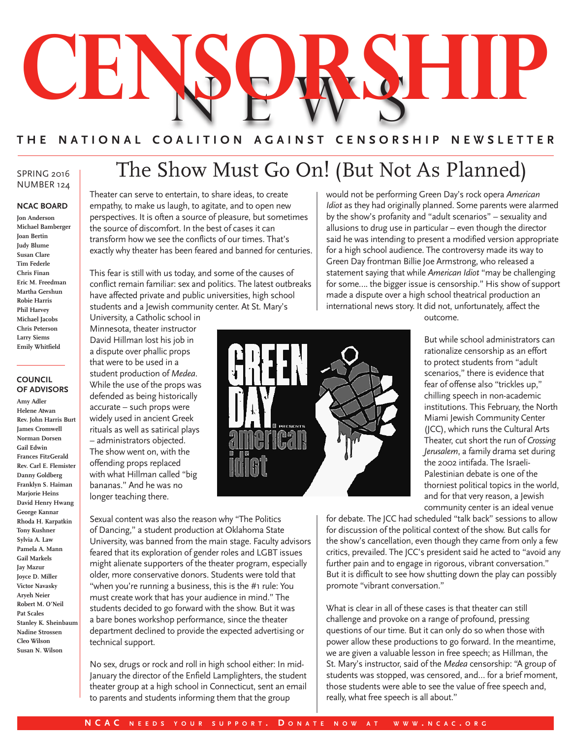

# **THE NATIONAL COALITION AGAINST CENSORSHIP NEWSLETTER**

### SPRING 2016 NUMBER 124

#### **NCAC BOARD**

**Jon Anderson Michael Bamberger Joan Bertin Judy Blume Susan Clare Tim Federle Chris Finan Eric M. Freedman Martha Gershun Robie Harris Phil Harvey Michael Jacobs Chris Peterson Larry Siems Emily Whitfield**

#### **COUNCIL OF ADVISORS**

**Amy Adler Helene Atwan Rev. John Harris Burt James Cromwell Norman Dorsen Gail Edwin Frances FitzGerald Rev. Carl E. Flemister Danny Goldberg Franklyn S. Haiman Marjorie Heins David Henry Hwang George Kannar Rhoda H. Karpatkin Tony Kushner Sylvia A. Law Pamela A. Mann Gail Markels Jay Mazur Joyce D. Miller Victor Navasky Aryeh Neier Robert M. O'Neil Pat Scales Stanley K. Sheinbaum Nadine Strossen Cleo Wilson Susan N. Wilson**

# The Show Must Go On! (But Not As Planned)

Theater can serve to entertain, to share ideas, to create empathy, to make us laugh, to agitate, and to open new perspectives. It is often a source of pleasure, but sometimes the source of discomfort. In the best of cases it can transform how we see the conflicts of our times. That's exactly why theater has been feared and banned for centuries.

This fear is still with us today, and some of the causes of conflict remain familiar: sex and politics. The latest outbreaks have affected private and public universities, high school students and a Jewish community center. At St. Mary's

University, a Catholic school in Minnesota, theater instructor David Hillman lost his job in a dispute over phallic props that were to be used in a student production of *Medea*. While the use of the props was defended as being historically accurate – such props were widely used in ancient Greek rituals as well as satirical plays – administrators objected. The show went on, with the offending props replaced with what Hillman called "big bananas." And he was no longer teaching there.

Sexual content was also the reason why "The Politics of Dancing," a student production at Oklahoma State University, was banned from the main stage. Faculty advisors feared that its exploration of gender roles and LGBT issues might alienate supporters of the theater program, especially older, more conservative donors. Students were told that "when you're running a business, this is the #1 rule: You must create work that has your audience in mind." The students decided to go forward with the show. But it was a bare bones workshop performance, since the theater department declined to provide the expected advertising or technical support.

No sex, drugs or rock and roll in high school either: In mid-January the director of the Enfield Lamplighters, the student theater group at a high school in Connecticut, sent an email to parents and students informing them that the group

would not be performing Green Day's rock opera *American Idiot* as they had originally planned. Some parents were alarmed by the show's profanity and "adult scenarios" – sexuality and allusions to drug use in particular – even though the director said he was intending to present a modified version appropriate for a high school audience. The controversy made its way to Green Day frontman Billie Joe Armstrong, who released a statement saying that while *American Idiot* "may be challenging for some…. the bigger issue is censorship." His show of support made a dispute over a high school theatrical production an international news story. It did not, unfortunately, affect the outcome.



But while school administrators can rationalize censorship as an effort to protect students from "adult scenarios," there is evidence that fear of offense also "trickles up," chilling speech in non-academic institutions. This February, the North Miami Jewish Community Center (JCC), which runs the Cultural Arts Theater, cut short the run of *Crossing Jerusalem*, a family drama set during the 2002 intifada. The Israeli-Palestinian debate is one of the thorniest political topics in the world, and for that very reason, a Jewish community center is an ideal venue

for debate. The JCC had scheduled "talk back" sessions to allow for discussion of the political context of the show. But calls for the show's cancellation, even though they came from only a few critics, prevailed. The JCC's president said he acted to "avoid any further pain and to engage in rigorous, vibrant conversation." But it is difficult to see how shutting down the play can possibly promote "vibrant conversation."

What is clear in all of these cases is that theater can still challenge and provoke on a range of profound, pressing questions of our time. But it can only do so when those with power allow these productions to go forward. In the meantime, we are given a valuable lesson in free speech; as Hillman, the St. Mary's instructor, said of the *Medea* censorship: "A group of students was stopped, was censored, and… for a brief moment, those students were able to see the value of free speech and, really, what free speech is all about."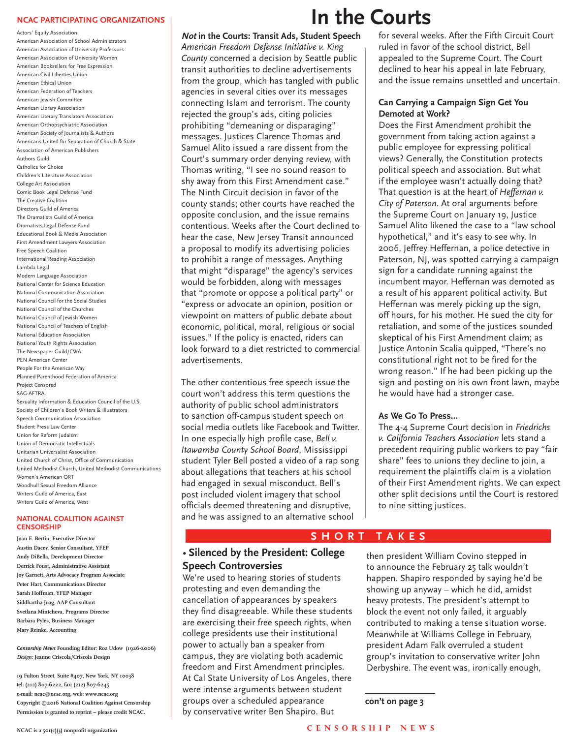#### **NCAC PARTICIPATING ORGANIZATIONS**

Actors' Equity Association American Association of School Administrators American Association of University Professors American Association of University Women American Booksellers for Free Expression American Civil Liberties Union American Ethical Union American Federation of Teachers American Jewish Committee American Library Association American Literary Translators Association American Orthopsychiatric Association American Society of Journalists & Authors Americans United for Separation of Church & State Association of American Publishers Authors Guild Catholics for Choice Children's Literature Association College Art Association Comic Book Legal Defense Fund The Creative Coalition Directors Guild of America The Dramatists Guild of America Dramatists Legal Defense Fund Educational Book & Media Association First Amendment Lawyers Association Free Speech Coalition International Reading Association Lambda Legal Modern Language Association National Center for Science Education National Communication Association National Council for the Social Studies National Council of the Churches National Council of Jewish Women National Council of Teachers of English National Education Association National Youth Rights Association The Newspaper Guild/CWA PEN American Center People For the American Way Planned Parenthood Federation of America Project Censored SAG-AFTRA Sexuality Information & Education Council of the U.S. Society of Children's Book Writers & Illustrators Speech Communication Association Student Press Law Center Union for Reform Judaism Union of Democratic Intellectuals Unitarian Universalist Association United Church of Christ, Office of Communication United Methodist Church, United Methodist Communications Women's American ORT Woodhull Sexual Freedom Alliance Writers Guild of America, East Writers Guild of America, West

#### **NATIONAL COALITION AGAINST CENSORSHIP**

**Joan E. Bertin, Executive Director Austin Dacey, Senior Consultant, YFEP Andy DiBella, Development Director Derrick Foust, Administrative Assistant Joy Garnett, Arts Advocacy Program Associate Peter Hart, Communications Director Sarah Hoffman, YFEP Manager Siddhartha Joag, AAP Consultant Svetlana Mintcheva, Programs Director Barbara Pyles, Business Manager Mary Reinke, Accounting**

*Censorship News* **Founding Editor: Roz Udow (1926-2006)** *Design:* **Jeanne Criscola/Criscola Design**

**19 Fulton Street, Suite #407, New York, NY 10038 tel: (212) 807-6222, fax: (212) 807-6245 e-mail: ncac@ncac.org, web: www.ncac.org Copyright ©2016 National Coalition Against Censorship Permission is granted to reprint – please credit NCAC.**

# **In the Courts**

**Not in the Courts: Transit Ads, Student Speech** *American Freedom Defense Initiative v. King County* concerned a decision by Seattle public transit authorities to decline advertisements from the group, which has tangled with public agencies in several cities over its messages connecting Islam and terrorism. The county rejected the group's ads, citing policies prohibiting "demeaning or disparaging" messages. Justices Clarence Thomas and Samuel Alito issued a rare dissent from the Court's summary order denying review, with Thomas writing, "I see no sound reason to shy away from this First Amendment case." The Ninth Circuit decision in favor of the county stands; other courts have reached the opposite conclusion, and the issue remains contentious. Weeks after the Court declined to hear the case, New Jersey Transit announced a proposal to modify its advertising policies to prohibit a range of messages. Anything that might "disparage" the agency's services would be forbidden, along with messages that "promote or oppose a political party" or "express or advocate an opinion, position or viewpoint on matters of public debate about economic, political, moral, religious or social issues." If the policy is enacted, riders can look forward to a diet restricted to commercial advertisements.

The other contentious free speech issue the court won't address this term questions the authority of public school administrators to sanction off-campus student speech on social media outlets like Facebook and Twitter. In one especially high profile case, *Bell v. Itawamba County School Board*, Mississippi student Tyler Bell posted a video of a rap song about allegations that teachers at his school had engaged in sexual misconduct. Bell's post included violent imagery that school officials deemed threatening and disruptive, and he was assigned to an alternative school

### for several weeks. After the Fifth Circuit Court ruled in favor of the school district, Bell appealed to the Supreme Court. The Court declined to hear his appeal in late February, and the issue remains unsettled and uncertain.

### **Can Carrying a Campaign Sign Get You Demoted at Work?**

Does the First Amendment prohibit the government from taking action against a public employee for expressing political views? Generally, the Constitution protects political speech and association. But what if the employee wasn't actually doing that? That question is at the heart of *Heffernan v. City of Paterson*. At oral arguments before the Supreme Court on January 19, Justice Samuel Alito likened the case to a "law school hypothetical," and it's easy to see why. In 2006, Jeffrey Heffernan, a police detective in Paterson, NJ, was spotted carrying a campaign sign for a candidate running against the incumbent mayor. Heffernan was demoted as a result of his apparent political activity. But Heffernan was merely picking up the sign, off hours, for his mother. He sued the city for retaliation, and some of the justices sounded skeptical of his First Amendment claim; as Justice Antonin Scalia quipped, "There's no constitutional right not to be fired for the wrong reason." If he had been picking up the sign and posting on his own front lawn, maybe he would have had a stronger case.

## **As We Go To Press…**

The 4-4 Supreme Court decision in *Friedrichs v. California Teachers Association* lets stand a precedent requiring public workers to pay "fair share" fees to unions they decline to join, a requirement the plaintiffs claim is a violation of their First Amendment rights. We can expect other split decisions until the Court is restored to nine sitting justices.

# **SHORT TAKES**

## • **Silenced by the President: College Speech Controversies**

We're used to hearing stories of students protesting and even demanding the cancellation of appearances by speakers they find disagreeable. While these students are exercising their free speech rights, when college presidents use their institutional power to actually ban a speaker from campus, they are violating both academic freedom and First Amendment principles. At Cal State University of Los Angeles, there were intense arguments between student groups over a scheduled appearance by conservative writer Ben Shapiro. But

then president William Covino stepped in to announce the February 25 talk wouldn't happen. Shapiro responded by saying he'd be showing up anyway – which he did, amidst heavy protests. The president's attempt to block the event not only failed, it arguably contributed to making a tense situation worse. Meanwhile at Williams College in February, president Adam Falk overruled a student group's invitation to conservative writer John Derbyshire. The event was, ironically enough,

#### **con't on page 3**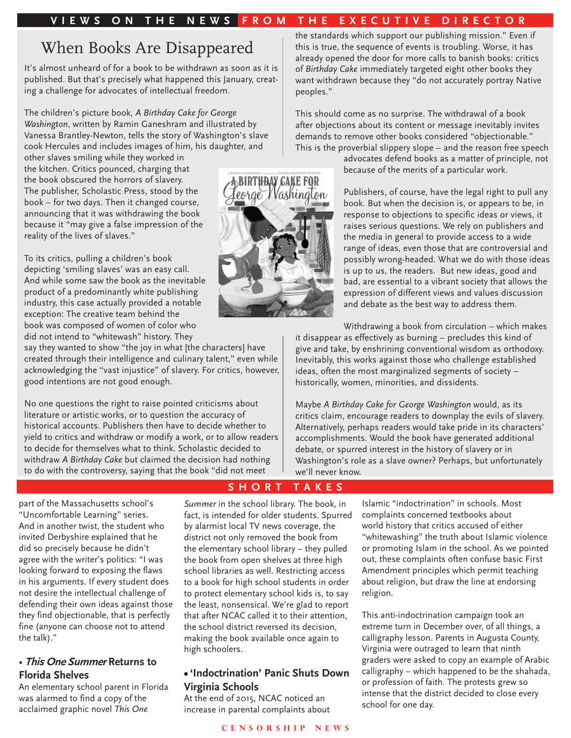# **VIEWS ON THE NEWS FROM THE EXECUTIVE DIRECTOR**

# When Books Are Disappeared

It's almost unheard of for a book to be withdrawn as soon as it is published. But that's precisely what happened this January, creating a challenge for advocates of intellectual freedom.

The children's picture book, *A Birthday Cake for George Washington*, written by Ramin Ganeshram and illustrated by Vanessa Brantley-Newton, tells the story of Washington's slave cook Hercules and includes images of him, his daughter, and

other slaves smiling while they worked in the kitchen. Critics pounced, charging that the book obscured the horrors of slavery. The publisher, Scholastic Press, stood by the book – for two days. Then it changed course, announcing that it was withdrawing the book because it "may give a false impression of the reality of the lives of slaves."

To its critics, pulling a children's book depicting 'smiling slaves' was an easy call. And while some saw the book as the inevitable product of a predominantly white publishing industry, this case actually provided a notable exception: The creative team behind the book was composed of women of color who did not intend to "whitewash" history. They

say they wanted to show "the joy in what [the characters] have created through their intelligence and culinary talent," even while acknowledging the "vast injustice" of slavery. For critics, however, good intentions are not good enough.

No one questions the right to raise pointed criticisms about literature or artistic works, or to question the accuracy of historical accounts. Publishers then have to decide whether to yield to critics and withdraw or modify a work, or to allow readers to decide for themselves what to think. Scholastic decided to withdraw *A Birthday Cake* but claimed the decision had nothing to do with the controversy, saying that the book "did not meet

part of the Massachusetts school's "Uncomfortable Learning" series. And in another twist, the student who invited Derbyshire explained that he did so precisely because he didn't agree with the writer's politics: "I was looking forward to exposing the flaws in his arguments. If every student does not desire the intellectual challenge of defending their own ideas against those they find objectionable, that is perfectly fine (anyone can choose not to attend the talk)."

# • **This One Summer Returns to Florida Shelves**

An elementary school parent in Florida was alarmed to find a copy of the acclaimed graphic novel *This One* 

the standards which support our publishing mission." Even if this is true, the sequence of events is troubling. Worse, it has already opened the door for more calls to banish books: critics of *Birthday Cake* immediately targeted eight other books they want withdrawn because they "do not accurately portray Native peoples."

This should come as no surprise. The withdrawal of a book after objections about its content or message inevitably invites demands to remove other books considered "objectionable." This is the proverbial slippery slope – and the reason free speech

advocates defend books as a matter of principle, not because of the merits of a particular work.

Publishers, of course, have the legal right to pull any book. But when the decision is, or appears to be, in response to objections to specific ideas or views, it raises serious questions. We rely on publishers and the media in general to provide access to a wide range of ideas, even those that are controversial and possibly wrong-headed. What we do with those ideas is up to us, the readers. But new ideas, good and bad, are essential to a vibrant society that allows the expression of different views and values discussion and debate as the best way to address them.

Withdrawing a book from circulation – which makes it disappear as effectively as burning – precludes this kind of give and take, by enshrining conventional wisdom as orthodoxy. Inevitably, this works against those who challenge established ideas, often the most marginalized segments of society – historically, women, minorities, and dissidents.

Maybe *A Birthday Cake for George Washington* would, as its critics claim, encourage readers to downplay the evils of slavery. Alternatively, perhaps readers would take pride in its characters' accomplishments. Would the book have generated additional debate, or spurred interest in the history of slavery or in Washington's role as a slave owner? Perhaps, but unfortunately we'll never know.

## **SHORT TAKES**

*Summer* in the school library. The book, in fact, is intended for older students. Spurred by alarmist local TV news coverage, the district not only removed the book from the elementary school library – they pulled the book from open shelves at three high school libraries as well. Restricting access to a book for high school students in order to protect elementary school kids is, to say the least, nonsensical. We're glad to report that after NCAC called it to their attention, the school district reversed its decision, making the book available once again to high schoolers.

## **• 'Indoctrination' Panic Shuts Down Virginia Schools**

At the end of 2015, NCAC noticed an increase in parental complaints about Islamic "indoctrination" in schools. Most complaints concerned textbooks about world history that critics accused of either "whitewashing" the truth about Islamic violence or promoting Islam in the school. As we pointed out, these complaints often confuse basic First Amendment principles which permit teaching about religion, but draw the line at endorsing religion.

This anti-indoctrination campaign took an extreme turn in December over, of all things, a calligraphy lesson. Parents in Augusta County, Virginia were outraged to learn that ninth graders were asked to copy an example of Arabic calligraphy – which happened to be the shahada, or profession of faith. The protests grew so intense that the district decided to close every school for one day.